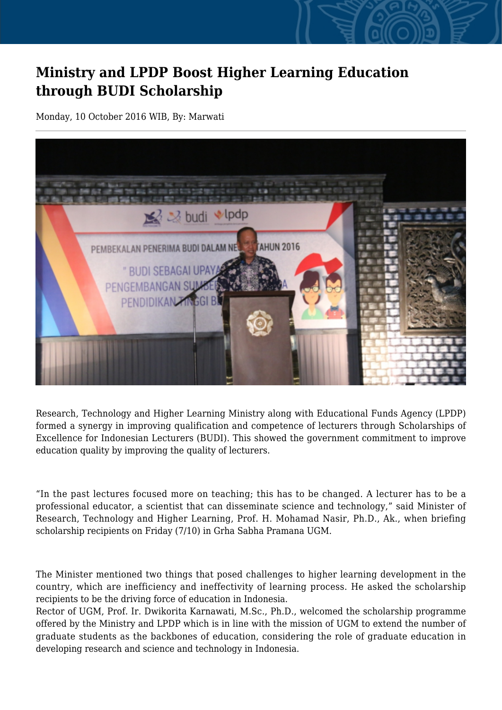## **Ministry and LPDP Boost Higher Learning Education through BUDI Scholarship**

Monday, 10 October 2016 WIB, By: Marwati



Research, Technology and Higher Learning Ministry along with Educational Funds Agency (LPDP) formed a synergy in improving qualification and competence of lecturers through Scholarships of Excellence for Indonesian Lecturers (BUDI). This showed the government commitment to improve education quality by improving the quality of lecturers.

"In the past lectures focused more on teaching; this has to be changed. A lecturer has to be a professional educator, a scientist that can disseminate science and technology," said Minister of Research, Technology and Higher Learning, Prof. H. Mohamad Nasir, Ph.D., Ak., when briefing scholarship recipients on Friday (7/10) in Grha Sabha Pramana UGM.

The Minister mentioned two things that posed challenges to higher learning development in the country, which are inefficiency and ineffectivity of learning process. He asked the scholarship recipients to be the driving force of education in Indonesia.

Rector of UGM, Prof. Ir. Dwikorita Karnawati, M.Sc., Ph.D., welcomed the scholarship programme offered by the Ministry and LPDP which is in line with the mission of UGM to extend the number of graduate students as the backbones of education, considering the role of graduate education in developing research and science and technology in Indonesia.